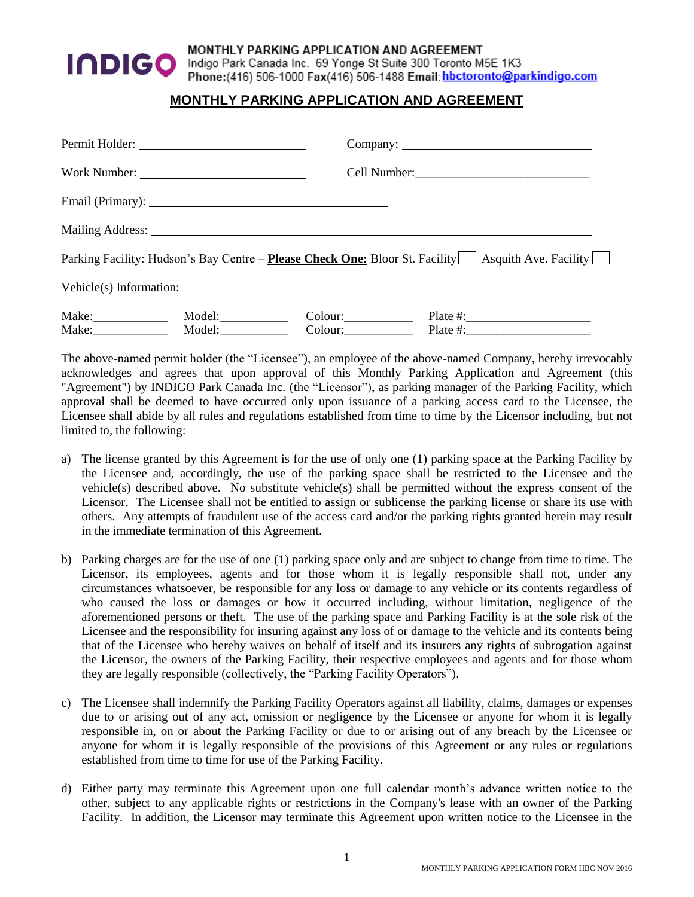

## MONTHLY PARKING APPLICATION AND AGREEMENT

Indigo Park Canada Inc. 69 Yonge St Suite 300 Toronto M5E 1K3 Phone:(416) 506-1000 Fax(416) 506-1488 Email: hbctoronto@parkindigo.com

## **MONTHLY PARKING APPLICATION AND AGREEMENT**

| Work Number:            |        |                                                                                                                                                                                                                                |                        |  |
|-------------------------|--------|--------------------------------------------------------------------------------------------------------------------------------------------------------------------------------------------------------------------------------|------------------------|--|
|                         |        | Email (Primary): 2008 and 2008 and 2008 and 2008 and 2008 and 2008 and 2008 and 2008 and 2008 and 2008 and 200                                                                                                                 |                        |  |
|                         |        | Mailing Address: National Address: National Address: National Address: National Address: National Address: National Address: National Address: National Address: National Address: National Address: National Address: Nationa |                        |  |
|                         |        | Parking Facility: Hudson's Bay Centre – Please Check One: Bloor St. Facility   Asquith Ave. Facility                                                                                                                           |                        |  |
| Vehicle(s) Information: |        |                                                                                                                                                                                                                                |                        |  |
|                         | Model: | $\text{Colour:}\_\_\_\_\_\_\_\_\_\_\_\_\_\_\_\_\_$                                                                                                                                                                             |                        |  |
|                         | Model: | $\text{Colour:}\_\_\_\_\_\_\_\_\_\_\_\_\$                                                                                                                                                                                      | Plate #: $\frac{1}{2}$ |  |

The above-named permit holder (the "Licensee"), an employee of the above-named Company, hereby irrevocably acknowledges and agrees that upon approval of this Monthly Parking Application and Agreement (this "Agreement") by INDIGO Park Canada Inc. (the "Licensor"), as parking manager of the Parking Facility, which approval shall be deemed to have occurred only upon issuance of a parking access card to the Licensee, the Licensee shall abide by all rules and regulations established from time to time by the Licensor including, but not limited to, the following:

- a) The license granted by this Agreement is for the use of only one (1) parking space at the Parking Facility by the Licensee and, accordingly, the use of the parking space shall be restricted to the Licensee and the vehicle(s) described above. No substitute vehicle(s) shall be permitted without the express consent of the Licensor. The Licensee shall not be entitled to assign or sublicense the parking license or share its use with others. Any attempts of fraudulent use of the access card and/or the parking rights granted herein may result in the immediate termination of this Agreement.
- b) Parking charges are for the use of one (1) parking space only and are subject to change from time to time. The Licensor, its employees, agents and for those whom it is legally responsible shall not, under any circumstances whatsoever, be responsible for any loss or damage to any vehicle or its contents regardless of who caused the loss or damages or how it occurred including, without limitation, negligence of the aforementioned persons or theft. The use of the parking space and Parking Facility is at the sole risk of the Licensee and the responsibility for insuring against any loss of or damage to the vehicle and its contents being that of the Licensee who hereby waives on behalf of itself and its insurers any rights of subrogation against the Licensor, the owners of the Parking Facility, their respective employees and agents and for those whom they are legally responsible (collectively, the "Parking Facility Operators").
- c) The Licensee shall indemnify the Parking Facility Operators against all liability, claims, damages or expenses due to or arising out of any act, omission or negligence by the Licensee or anyone for whom it is legally responsible in, on or about the Parking Facility or due to or arising out of any breach by the Licensee or anyone for whom it is legally responsible of the provisions of this Agreement or any rules or regulations established from time to time for use of the Parking Facility.
- d) Either party may terminate this Agreement upon one full calendar month's advance written notice to the other, subject to any applicable rights or restrictions in the Company's lease with an owner of the Parking Facility. In addition, the Licensor may terminate this Agreement upon written notice to the Licensee in the